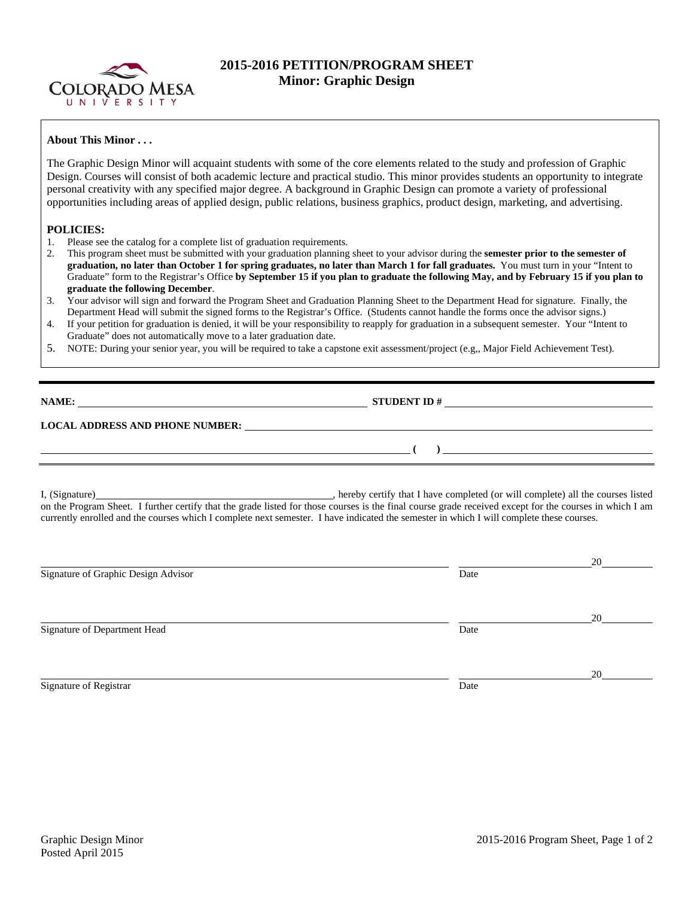

## **2015-2016 PETITION/PROGRAM SHEET Minor: Graphic Design**

## **About This Minor . . .**

The Graphic Design Minor will acquaint students with some of the core elements related to the study and profession of Graphic Design. Courses will consist of both academic lecture and practical studio. This minor provides students an opportunity to integrate personal creativity with any specified major degree. A background in Graphic Design can promote a variety of professional opportunities including areas of applied design, public relations, business graphics, product design, marketing, and advertising.

## **POLICIES:**

- 1. Please see the catalog for a complete list of graduation requirements.
- 2. This program sheet must be submitted with your graduation planning sheet to your advisor during the **semester prior to the semester of graduation, no later than October 1 for spring graduates, no later than March 1 for fall graduates.** You must turn in your "Intent to Graduate" form to the Registrar's Office **by September 15 if you plan to graduate the following May, and by February 15 if you plan to graduate the following December**.
- 3. Your advisor will sign and forward the Program Sheet and Graduation Planning Sheet to the Department Head for signature. Finally, the Department Head will submit the signed forms to the Registrar's Office. (Students cannot handle the forms once the advisor signs.)
- 4. If your petition for graduation is denied, it will be your responsibility to reapply for graduation in a subsequent semester. Your "Intent to Graduate" does not automatically move to a later graduation date.
- 5. NOTE: During your senior year, you will be required to take a capstone exit assessment/project (e.g,, Major Field Achievement Test).

**NAME: STUDENT ID #** 

 **( )** 

## **LOCAL ADDRESS AND PHONE NUMBER:**

I, (Signature) , hereby certify that I have completed (or will complete) all the courses listed on the Program Sheet. I further certify that the grade listed for those courses is the final course grade received except for the courses in which I am currently enrolled and the courses which I complete next semester. I have indicated the semester in which I will complete these courses.

|                                     |      | 20 |
|-------------------------------------|------|----|
| Signature of Graphic Design Advisor | Date |    |
|                                     |      |    |
|                                     |      | 20 |
| Signature of Department Head        | Date |    |
|                                     |      |    |
|                                     |      | 20 |
| Signature of Registrar              | Date |    |